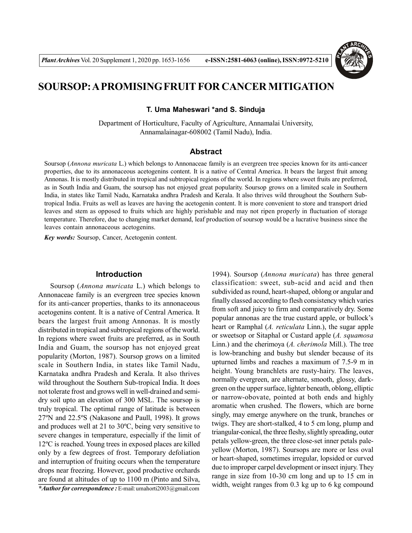

# **SOURSOP: A PROMISING FRUIT FOR CANCER MITIGATION**

**T. Uma Maheswari \*and S. Sinduja**

Department of Horticulture, Faculty of Agriculture, Annamalai University, Annamalainagar-608002 (Tamil Nadu), India.

# **Abstract**

Soursop (*Annona muricata* L.) which belongs to Annonaceae family is an evergreen tree species known for its anti-cancer properties, due to its annonaceous acetogenins content. It is a native of Central America. It bears the largest fruit among Annonas. It is mostly distributed in tropical and subtropical regions of the world. In regions where sweet fruits are preferred, as in South India and Guam, the soursop has not enjoyed great popularity. Soursop grows on a limited scale in Southern India, in states like Tamil Nadu, Karnataka andhra Pradesh and Kerala. It also thrives wild throughout the Southern Subtropical India. Fruits as well as leaves are having the acetogenin content. It is more convenient to store and transport dried leaves and stem as opposed to fruits which are highly perishable and may not ripen properly in fluctuation of storage temperature. Therefore, due to changing market demand, leaf production of soursop would be a lucrative business since the leaves contain annonaceous acetogenins.

*Key words:* Soursop, Cancer, Acetogenin content.

## **Introduction**

Soursop (*Annona muricata* L.) which belongs to Annonaceae family is an evergreen tree species known for its anti-cancer properties, thanks to its annonaceous acetogenins content. It is a native of Central America. It bears the largest fruit among Annonas. It is mostly distributed in tropical and subtropical regions of the world. In regions where sweet fruits are preferred, as in South India and Guam, the soursop has not enjoyed great popularity (Morton, 1987). Soursop grows on a limited scale in Southern India, in states like Tamil Nadu, Karnataka andhra Pradesh and Kerala. It also thrives wild throughout the Southern Sub-tropical India. It does not tolerate frost and grows well in well-drained and semidry soil upto an elevation of 300 MSL. The soursop is truly tropical. The optimal range of latitude is between 27ºN and 22.5ºS (Nakasone and Paull, 1998). It grows and produces well at 21 to 30ºC, being very sensitive to severe changes in temperature, especially if the limit of 12ºC is reached. Young trees in exposed places are killed only by a few degrees of frost. Temporary defoliation and interruption of fruiting occurs when the temperature drops near freezing. However, good productive orchards are found at altitudes of up to 1100 m (Pinto and Silva,

*\*Author for correspondence :* E-mail: umahorti2003@gmail.com

1994). Soursop (*Annona muricata*) has three general classification: sweet, sub-acid and acid and then subdivided as round, heart-shaped, oblong or angular and finally classed according to flesh consistency which varies from soft and juicy to firm and comparatively dry. Some popular annonas are the true custard apple, or bullock's heart or Ramphal (*A. reticulata* Linn.), the sugar apple or sweetsop or Sitaphal or Custard apple (*A. squamosa* Linn.) and the cherimoya (*A. cherimola* Mill.). The tree is low-branching and bushy but slender because of its upturned limbs and reaches a maximum of 7.5-9 m in height. Young branchlets are rusty-hairy. The leaves, normally evergreen, are alternate, smooth, glossy, darkgreen on the upper surface, lighter beneath, oblong, elliptic or narrow-obovate, pointed at both ends and highly aromatic when crushed. The flowers, which are borne singly, may emerge anywhere on the trunk, branches or twigs. They are short-stalked, 4 to 5 cm long, plump and triangular-conical, the three fleshy, slightly spreading, outer petals yellow-green, the three close-set inner petals paleyellow (Morton, 1987). Soursops are more or less oval or heart-shaped, sometimes irregular, lopsided or curved due to improper carpel development or insect injury. They range in size from 10-30 cm long and up to 15 cm in width, weight ranges from 0.3 kg up to 6 kg compound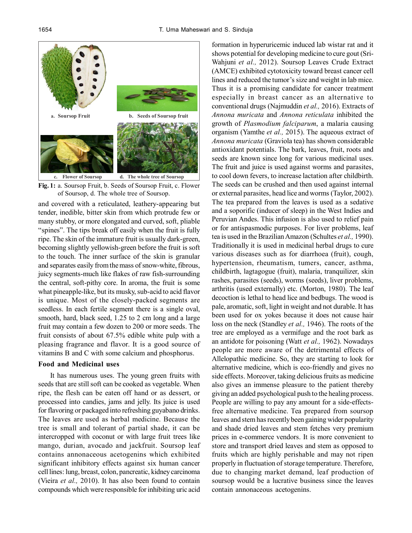

**Fig. 1:** a. Soursop Fruit, b. Seeds of Soursop Fruit, c. Flower of Soursop, d. The whole tree of Soursop.

and covered with a reticulated, leathery-appearing but tender, inedible, bitter skin from which protrude few or many stubby, or more elongated and curved, soft, pliable "spines". The tips break off easily when the fruit is fully ripe. The skin of the immature fruit is usually dark-green, becoming slightly yellowish-green before the fruit is soft to the touch. The inner surface of the skin is granular and separates easily from the mass of snow-white, fibrous, juicy segments-much like flakes of raw fish-surrounding the central, soft-pithy core. In aroma, the fruit is some what pineapple-like, but its musky, sub-acid to acid flavor is unique. Most of the closely-packed segments are seedless. In each fertile segment there is a single oval, smooth, hard, black seed, 1.25 to 2 cm long and a large fruit may contain a few dozen to 200 or more seeds. The fruit consists of about 67.5% edible white pulp with a pleasing fragrance and flavor. It is a good source of vitamins B and C with some calcium and phosphorus.

#### **Food and Medicinal uses**

It has numerous uses. The young green fruits with seeds that are still soft can be cooked as vegetable. When ripe, the flesh can be eaten off hand or as dessert, or processed into candies, jams and jelly. Its juice is used for flavoring or packaged into refreshing guyabano drinks. The leaves are used as herbal medicine. Because the tree is small and tolerant of partial shade, it can be intercropped with coconut or with large fruit trees like mango, durian, avocado and jackfruit. Soursop leaf contains annonaceous acetogenins which exhibited significant inhibitory effects against six human cancer cell lines: lung, breast, colon, pancreatic, kidney carcinoma (Vieira *et al.,* 2010). It has also been found to contain compounds which were responsible for inhibiting uric acid

formation in hyperuricemic induced lab wistar rat and it shows potential for developing medicine to cure gout (Sri-Wahjuni *et al.,* 2012). Soursop Leaves Crude Extract (AMCE) exhibited cytotoxicity toward breast cancer cell lines and reduced the tumor's size and weight in lab mice. Thus it is a promising candidate for cancer treatment especially in breast cancer as an alternative to conventional drugs (Najmuddin *et al.,* 2016). Extracts of *Annona muricata* and *Annona reticulata* inhibited the growth of *Plasmodium falciparum*, a malaria causing organism (Yamthe *et al.,* 2015). The aqueous extract of *Annona muricata* (Graviola tea) has shown considerable antioxidant potentials. The bark, leaves, fruit, roots and seeds are known since long for various medicinal uses. The fruit and juice is used against worms and parasites, to cool down fevers, to increase lactation after childbirth. The seeds can be crushed and then used against internal or external parasites, head lice and worms (Taylor, 2002). The tea prepared from the leaves is used as a sedative and a soporific (inducer of sleep) in the West Indies and Peruvian Andes. This infusion is also used to relief pain or for antispasmodic purposes. For liver problems, leaf tea is used in the Brazilian Amazon (Schultes *et al.,* 1990). Traditionally it is used in medicinal herbal drugs to cure various diseases such as for diarrhoea (fruit), cough, hypertension, rheumatism, tumers, cancer, asthma, childbirth, lagtagogue (fruit), malaria, tranquilizer, skin rashes, parasites (seeds), worms (seeds), liver problems, arthritis (used externally) etc. (Morton, 1980). The leaf decoction is lethal to head lice and bedbugs. The wood is pale, aromatic, soft, light in weight and not durable. It has been used for ox yokes because it does not cause hair loss on the neck (Standley *et al.,* 1946). The roots of the tree are employed as a vermifuge and the root bark as an antidote for poisoning (Watt *et al.,* 1962). Nowadays people are more aware of the detrimental effects of Allelopathic medicine. So, they are starting to look for alternative medicine, which is eco-friendly and gives no side effects. Moreover, taking delicious fruits as medicine also gives an immense pleasure to the patient thereby giving an added psychological push to the healing process. People are willing to pay any amount for a side-effectsfree alternative medicine. Tea prepared from soursop leaves and stem has recently been gaining wider popularity and shade dried leaves and stem fetches very premium prices in e-commerce vendors. It is more convenient to store and transport dried leaves and stem as opposed to fruits which are highly perishable and may not ripen properly in fluctuation of storage temperature. Therefore, due to changing market demand, leaf production of soursop would be a lucrative business since the leaves contain annonaceous acetogenins.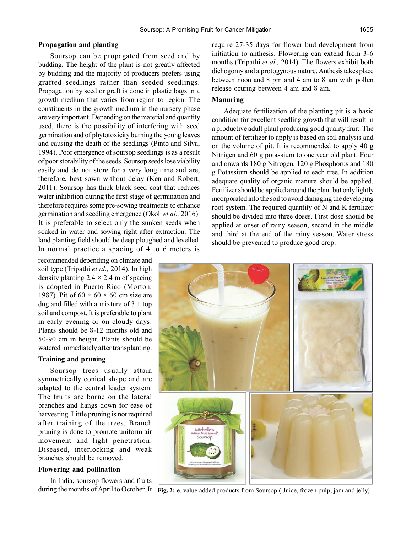# **Propagation and planting**

Soursop can be propagated from seed and by budding. The height of the plant is not greatly affected by budding and the majority of producers prefers using grafted seedlings rather than seeded seedlings. Propagation by seed or graft is done in plastic bags in a growth medium that varies from region to region. The constituents in the growth medium in the nursery phase are very important. Depending on the material and quantity used, there is the possibility of interfering with seed germination and of phytotoxicity burning the young leaves and causing the death of the seedlings (Pinto and Silva, 1994). Poor emergence of soursop seedlings is as a result of poor storability of the seeds. Soursop seeds lose viability easily and do not store for a very long time and are, therefore, best sown without delay (Ken and Robert, 2011). Soursop has thick black seed coat that reduces water inhibition during the first stage of germination and therefore requires some pre-sowing treatments to enhance germination and seedling emergence (Okoli *et al.,* 2016). It is preferable to select only the sunken seeds when soaked in water and sowing right after extraction. The land planting field should be deep ploughed and levelled. In normal practice a spacing of 4 to 6 meters is

recommended depending on climate and soil type (Tripathi *et al.,* 2014). In high density planting  $2.4 \times 2.4$  m of spacing is adopted in Puerto Rico (Morton, 1987). Pit of  $60 \times 60 \times 60$  cm size are dug and filled with a mixture of 3:1 top soil and compost. It is preferable to plant in early evening or on cloudy days. Plants should be 8-12 months old and 50-90 cm in height. Plants should be watered immediately after transplanting.

# **Training and pruning**

Soursop trees usually attain symmetrically conical shape and are adapted to the central leader system. The fruits are borne on the lateral branches and hangs down for ease of harvesting. Little pruning is not required after training of the trees. Branch pruning is done to promote uniform air movement and light penetration. Diseased, interlocking and weak branches should be removed.

# **Flowering and pollination**

In India, soursop flowers and fruits

require 27-35 days for flower bud development from initiation to anthesis. Flowering can extend from 3-6 months (Tripathi *et al.,* 2014). The flowers exhibit both dichogomy and a protogynous nature. Anthesis takes place between noon and 8 pm and 4 am to 8 am with pollen release ocuring between 4 am and 8 am.

# **Manuring**

Adequate fertilization of the planting pit is a basic condition for excellent seedling growth that will result in a productive adult plant producing good quality fruit. The amount of fertilizer to apply is based on soil analysis and on the volume of pit. It is recommended to apply 40 g Nitrigen and 60 g potassium to one year old plant. Four and onwards 180 g Nitrogen, 120 g Phosphorus and 180 g Potassium should be applied to each tree. In addition adequate quality of organic manure should be applied. Fertilizer should be applied around the plant but only lightly incorporated into the soil to avoid damaging the developing root system. The required quantity of N and K fertilizer should be divided into three doses. First dose should be applied at onset of rainy season, second in the middle and third at the end of the rainy season. Water stress should be prevented to produce good crop.



during the months of April to October. It Fig. 2: e. value added products from Soursop (Juice, frozen pulp, jam and jelly)